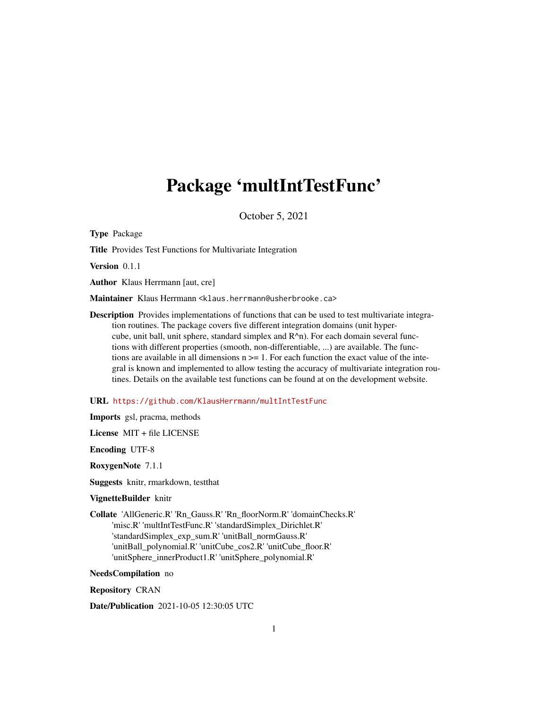# Package 'multIntTestFunc'

October 5, 2021

Type Package

Title Provides Test Functions for Multivariate Integration

Version 0.1.1

Author Klaus Herrmann [aut, cre]

Maintainer Klaus Herrmann <klaus.herrmann@usherbrooke.ca>

Description Provides implementations of functions that can be used to test multivariate integration routines. The package covers five different integration domains (unit hypercube, unit ball, unit sphere, standard simplex and R^n). For each domain several functions with different properties (smooth, non-differentiable, ...) are available. The functions are available in all dimensions  $n \geq 1$ . For each function the exact value of the integral is known and implemented to allow testing the accuracy of multivariate integration routines. Details on the available test functions can be found at on the development website.

URL <https://github.com/KlausHerrmann/multIntTestFunc>

Imports gsl, pracma, methods

License MIT + file LICENSE

Encoding UTF-8

RoxygenNote 7.1.1

Suggests knitr, rmarkdown, testthat

#### VignetteBuilder knitr

Collate 'AllGeneric.R' 'Rn\_Gauss.R' 'Rn\_floorNorm.R' 'domainChecks.R' 'misc.R' 'multIntTestFunc.R' 'standardSimplex\_Dirichlet.R' 'standardSimplex\_exp\_sum.R' 'unitBall\_normGauss.R' 'unitBall\_polynomial.R' 'unitCube\_cos2.R' 'unitCube\_floor.R' 'unitSphere\_innerProduct1.R' 'unitSphere\_polynomial.R'

NeedsCompilation no

Repository CRAN

Date/Publication 2021-10-05 12:30:05 UTC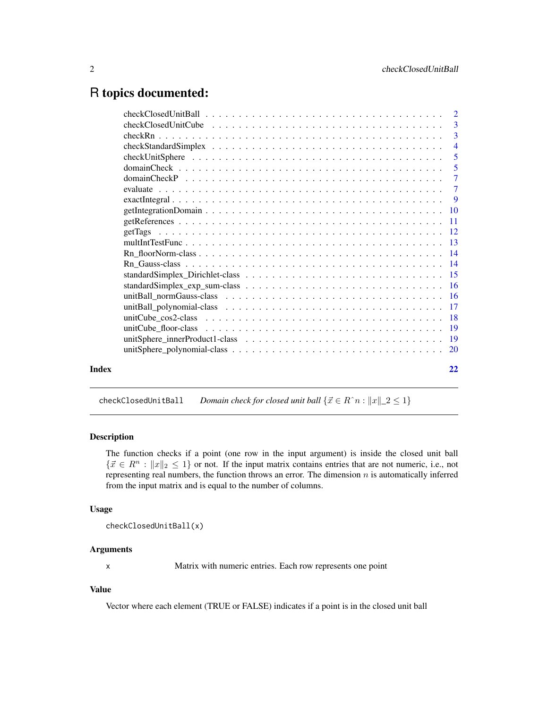# <span id="page-1-0"></span>R topics documented:

|       | $checkClosedUnitBall \dots \dots \dots \dots \dots \dots \dots \dots \dots \dots \dots \dots \dots \dots \dots \dots \dots \dots$ |                |
|-------|-----------------------------------------------------------------------------------------------------------------------------------|----------------|
|       |                                                                                                                                   |                |
|       |                                                                                                                                   |                |
|       |                                                                                                                                   | $\overline{4}$ |
|       |                                                                                                                                   | 5              |
|       |                                                                                                                                   | $\overline{5}$ |
|       |                                                                                                                                   | $\overline{7}$ |
|       |                                                                                                                                   | $\overline{7}$ |
|       |                                                                                                                                   |                |
|       |                                                                                                                                   |                |
|       |                                                                                                                                   |                |
|       |                                                                                                                                   |                |
|       |                                                                                                                                   |                |
|       |                                                                                                                                   |                |
|       |                                                                                                                                   |                |
|       |                                                                                                                                   |                |
|       |                                                                                                                                   |                |
|       |                                                                                                                                   |                |
|       |                                                                                                                                   |                |
|       |                                                                                                                                   |                |
|       |                                                                                                                                   |                |
|       |                                                                                                                                   |                |
|       |                                                                                                                                   |                |
|       |                                                                                                                                   |                |
| Index |                                                                                                                                   | 22             |
|       |                                                                                                                                   |                |

checkClosedUnitBall *Domain check for closed unit ball*  $\{\vec{x} \in R\hat{m} : ||x||_2 \leq 1\}$ 

#### Description

The function checks if a point (one row in the input argument) is inside the closed unit ball  $\{\vec{x} \in \mathbb{R}^n : ||x||_2 \leq 1\}$  or not. If the input matrix contains entries that are not numeric, i.e., not representing real numbers, the function throws an error. The dimension  $n$  is automatically inferred from the input matrix and is equal to the number of columns.

# Usage

```
checkClosedUnitBall(x)
```
# Arguments

x Matrix with numeric entries. Each row represents one point

# Value

Vector where each element (TRUE or FALSE) indicates if a point is in the closed unit ball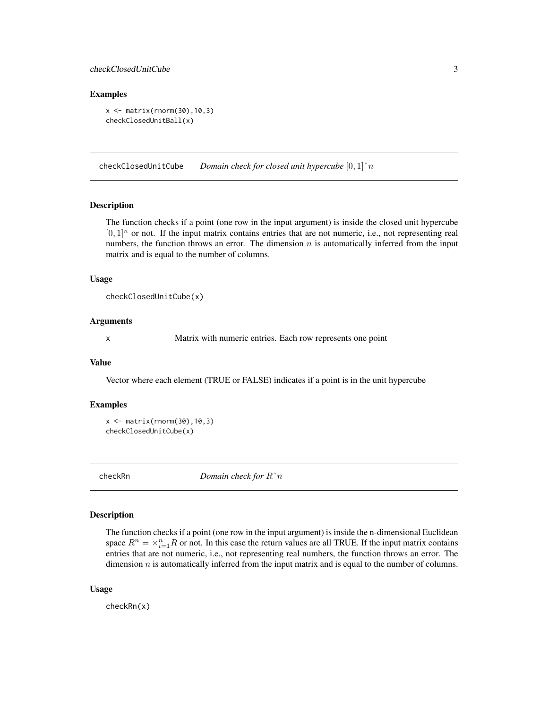# <span id="page-2-0"></span>checkClosedUnitCube 3

#### Examples

```
x \leftarrow \text{matrix}(rnorm(30), 10, 3)checkClosedUnitBall(x)
```
checkClosedUnitCube *Domain check for closed unit hypercube* [0, 1]ˆn

#### Description

The function checks if a point (one row in the input argument) is inside the closed unit hypercube  $[0, 1]^n$  or not. If the input matrix contains entries that are not numeric, i.e., not representing real numbers, the function throws an error. The dimension  $n$  is automatically inferred from the input matrix and is equal to the number of columns.

#### Usage

```
checkClosedUnitCube(x)
```
#### Arguments

x Matrix with numeric entries. Each row represents one point

#### Value

Vector where each element (TRUE or FALSE) indicates if a point is in the unit hypercube

# Examples

 $x \le -$  matrix(rnorm(30),10,3) checkClosedUnitCube(x)

checkRn *Domain check for* Rˆn

#### Description

The function checks if a point (one row in the input argument) is inside the n-dimensional Euclidean space  $R^n = \times_{i=1}^n R$  or not. In this case the return values are all TRUE. If the input matrix contains entries that are not numeric, i.e., not representing real numbers, the function throws an error. The dimension  $n$  is automatically inferred from the input matrix and is equal to the number of columns.

#### Usage

checkRn(x)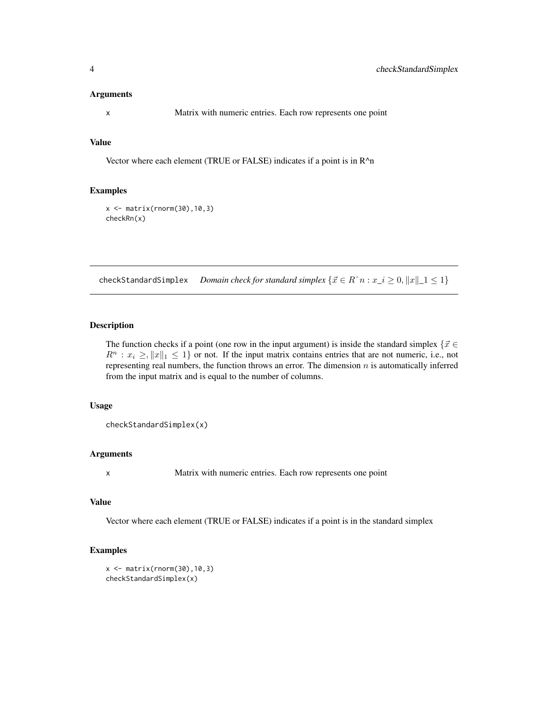#### <span id="page-3-0"></span>Arguments

x Matrix with numeric entries. Each row represents one point

# Value

Vector where each element (TRUE or FALSE) indicates if a point is in R^n

#### Examples

```
x <- matrix(rnorm(30),10,3)
checkRn(x)
```
checkStandardSimplex *Domain check for standard simplex*  $\{\vec{x} \in R\hat{\ }n : x_i \geq 0, \|x\| \leq 1\}$ 

# Description

The function checks if a point (one row in the input argument) is inside the standard simplex  $\{\vec{x} \in \mathbb{R}\}$  $R^n : x_i \ge ||x||_1 \le 1$  or not. If the input matrix contains entries that are not numeric, i.e., not representing real numbers, the function throws an error. The dimension  $n$  is automatically inferred from the input matrix and is equal to the number of columns.

#### Usage

checkStandardSimplex(x)

# Arguments

x Matrix with numeric entries. Each row represents one point

# Value

Vector where each element (TRUE or FALSE) indicates if a point is in the standard simplex

#### Examples

```
x \leftarrow \text{matrix}(rnorm(30), 10, 3)checkStandardSimplex(x)
```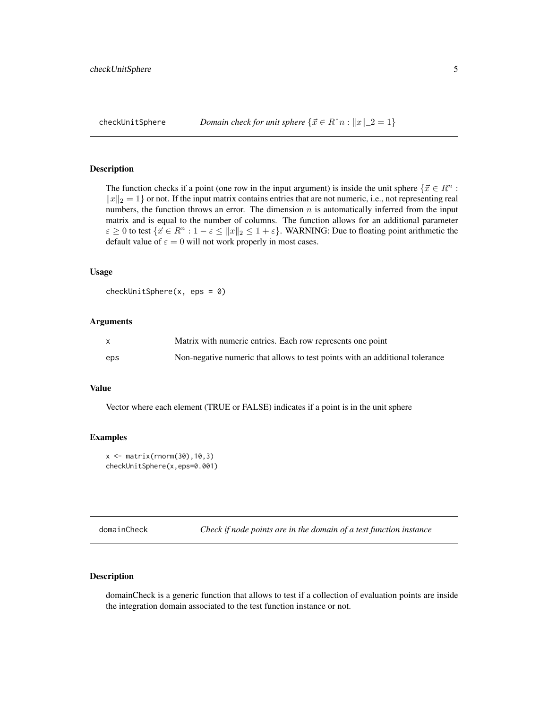#### <span id="page-4-0"></span>Description

The function checks if a point (one row in the input argument) is inside the unit sphere  $\{\vec{x} \in R^n :$  $||x||_2 = 1$  or not. If the input matrix contains entries that are not numeric, i.e., not representing real numbers, the function throws an error. The dimension  $n$  is automatically inferred from the input matrix and is equal to the number of columns. The function allows for an additional parameter  $\varepsilon \geq 0$  to test  $\{\vec{x} \in \mathbb{R}^n : 1 - \varepsilon \leq ||x||_2 \leq 1 + \varepsilon\}$ . WARNING: Due to floating point arithmetic the default value of  $\varepsilon = 0$  will not work properly in most cases.

# Usage

```
checkUnitSphere(x, eps = 0)
```
#### Arguments

| X   | Matrix with numeric entries. Each row represents one point                   |
|-----|------------------------------------------------------------------------------|
| eps | Non-negative numeric that allows to test points with an additional tolerance |

#### Value

Vector where each element (TRUE or FALSE) indicates if a point is in the unit sphere

# Examples

```
x \le - matrix(rnorm(30), 10, 3)
checkUnitSphere(x,eps=0.001)
```
domainCheck *Check if node points are in the domain of a test function instance*

# Description

domainCheck is a generic function that allows to test if a collection of evaluation points are inside the integration domain associated to the test function instance or not.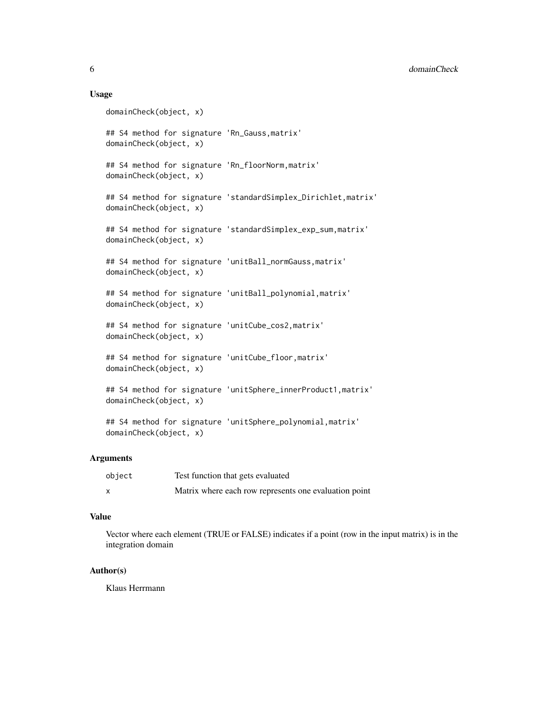#### Usage

```
domainCheck(object, x)
## S4 method for signature 'Rn_Gauss,matrix'
domainCheck(object, x)
## S4 method for signature 'Rn_floorNorm,matrix'
domainCheck(object, x)
## S4 method for signature 'standardSimplex_Dirichlet, matrix'
domainCheck(object, x)
## S4 method for signature 'standardSimplex_exp_sum,matrix'
domainCheck(object, x)
## S4 method for signature 'unitBall_normGauss,matrix'
domainCheck(object, x)
## S4 method for signature 'unitBall_polynomial,matrix'
domainCheck(object, x)
## S4 method for signature 'unitCube_cos2,matrix'
domainCheck(object, x)
## S4 method for signature 'unitCube_floor,matrix'
domainCheck(object, x)
## S4 method for signature 'unitSphere_innerProduct1,matrix'
domainCheck(object, x)
## S4 method for signature 'unitSphere_polynomial,matrix'
```

```
domainCheck(object, x)
```
# Arguments

| object | Test function that gets evaluated                     |
|--------|-------------------------------------------------------|
|        | Matrix where each row represents one evaluation point |

# Value

Vector where each element (TRUE or FALSE) indicates if a point (row in the input matrix) is in the integration domain

# Author(s)

Klaus Herrmann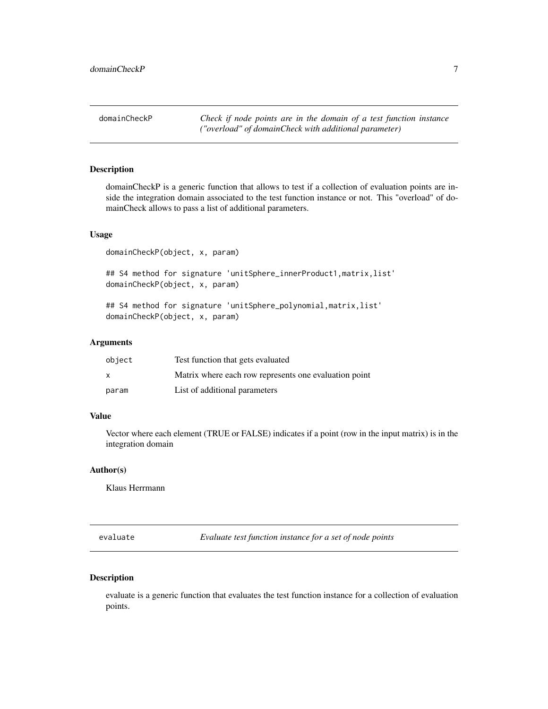<span id="page-6-0"></span>domainCheckP *Check if node points are in the domain of a test function instance ("overload" of domainCheck with additional parameter)*

#### Description

domainCheckP is a generic function that allows to test if a collection of evaluation points are inside the integration domain associated to the test function instance or not. This "overload" of domainCheck allows to pass a list of additional parameters.

#### Usage

domainCheckP(object, x, param)

## S4 method for signature 'unitSphere\_innerProduct1,matrix,list' domainCheckP(object, x, param)

## S4 method for signature 'unitSphere\_polynomial, matrix, list' domainCheckP(object, x, param)

#### Arguments

| object | Test function that gets evaluated                     |
|--------|-------------------------------------------------------|
| X      | Matrix where each row represents one evaluation point |
| param  | List of additional parameters                         |

#### Value

Vector where each element (TRUE or FALSE) indicates if a point (row in the input matrix) is in the integration domain

# Author(s)

Klaus Herrmann

evaluate *Evaluate test function instance for a set of node points*

# Description

evaluate is a generic function that evaluates the test function instance for a collection of evaluation points.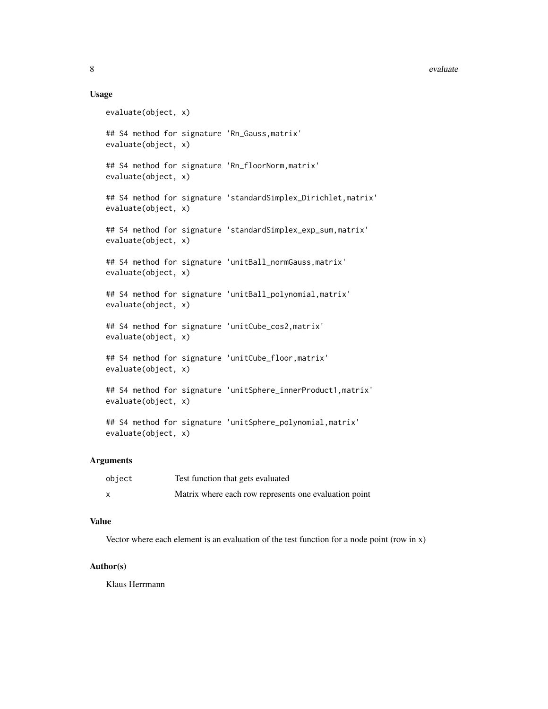#### 8 evaluate experience of the contract of the contract of the contract of the contract of the contract of the contract of the contract of the contract of the contract of the contract of the contract of the contract of the c

#### Usage

```
evaluate(object, x)
## S4 method for signature 'Rn_Gauss,matrix'
evaluate(object, x)
## S4 method for signature 'Rn_floorNorm,matrix'
evaluate(object, x)
## S4 method for signature 'standardSimplex_Dirichlet, matrix'
evaluate(object, x)
## S4 method for signature 'standardSimplex_exp_sum,matrix'
evaluate(object, x)
## S4 method for signature 'unitBall_normGauss, matrix'
evaluate(object, x)
## S4 method for signature 'unitBall_polynomial,matrix'
evaluate(object, x)
## S4 method for signature 'unitCube_cos2,matrix'
evaluate(object, x)
## S4 method for signature 'unitCube_floor,matrix'
evaluate(object, x)
## S4 method for signature 'unitSphere_innerProduct1, matrix'
evaluate(object, x)
## S4 method for signature 'unitSphere_polynomial,matrix'
evaluate(object, x)
```
#### Arguments

| object       | Test function that gets evaluated                     |
|--------------|-------------------------------------------------------|
| $\mathsf{x}$ | Matrix where each row represents one evaluation point |

# Value

Vector where each element is an evaluation of the test function for a node point (row in  $x$ )

#### Author(s)

Klaus Herrmann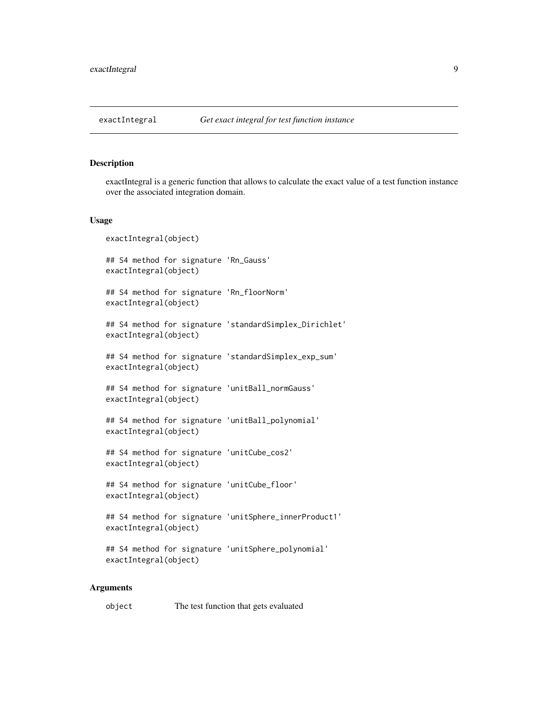<span id="page-8-0"></span>

# Description

exactIntegral is a generic function that allows to calculate the exact value of a test function instance over the associated integration domain.

#### Usage

```
exactIntegral(object)
## S4 method for signature 'Rn_Gauss'
exactIntegral(object)
## S4 method for signature 'Rn_floorNorm'
exactIntegral(object)
## S4 method for signature 'standardSimplex_Dirichlet'
exactIntegral(object)
## S4 method for signature 'standardSimplex_exp_sum'
exactIntegral(object)
## S4 method for signature 'unitBall_normGauss'
exactIntegral(object)
## S4 method for signature 'unitBall_polynomial'
exactIntegral(object)
## S4 method for signature 'unitCube_cos2'
exactIntegral(object)
## S4 method for signature 'unitCube_floor'
exactIntegral(object)
## S4 method for signature 'unitSphere_innerProduct1'
exactIntegral(object)
## S4 method for signature 'unitSphere_polynomial'
exactIntegral(object)
```
#### Arguments

object The test function that gets evaluated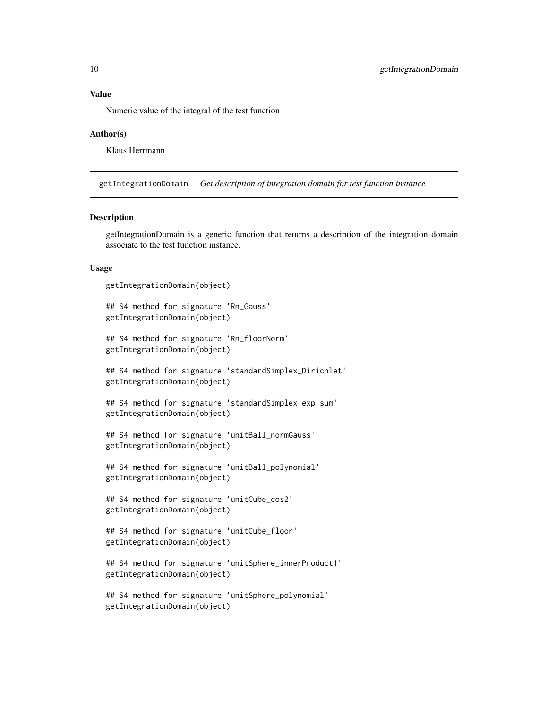# <span id="page-9-0"></span>Value

Numeric value of the integral of the test function

#### Author(s)

Klaus Herrmann

getIntegrationDomain *Get description of integration domain for test function instance*

#### Description

getIntegrationDomain is a generic function that returns a description of the integration domain associate to the test function instance.

#### Usage

```
getIntegrationDomain(object)
```

```
## S4 method for signature 'Rn_Gauss'
getIntegrationDomain(object)
```

```
## S4 method for signature 'Rn_floorNorm'
getIntegrationDomain(object)
```

```
## S4 method for signature 'standardSimplex_Dirichlet'
getIntegrationDomain(object)
```

```
## S4 method for signature 'standardSimplex_exp_sum'
getIntegrationDomain(object)
```

```
## S4 method for signature 'unitBall_normGauss'
getIntegrationDomain(object)
```

```
## S4 method for signature 'unitBall_polynomial'
getIntegrationDomain(object)
```

```
## S4 method for signature 'unitCube_cos2'
getIntegrationDomain(object)
```

```
## S4 method for signature 'unitCube_floor'
getIntegrationDomain(object)
```

```
## S4 method for signature 'unitSphere_innerProduct1'
getIntegrationDomain(object)
```

```
## S4 method for signature 'unitSphere_polynomial'
getIntegrationDomain(object)
```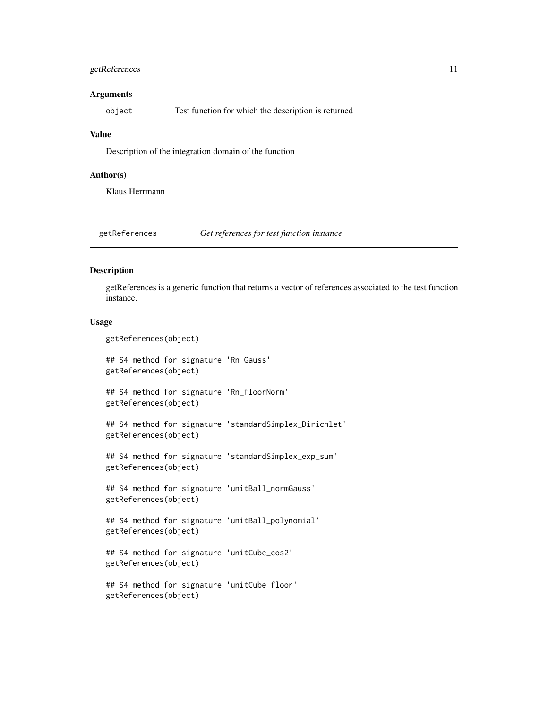# <span id="page-10-0"></span>getReferences 11

#### **Arguments**

| object | Test function for which the description is returned |
|--------|-----------------------------------------------------|
|--------|-----------------------------------------------------|

#### Value

Description of the integration domain of the function

#### Author(s)

Klaus Herrmann

getReferences *Get references for test function instance*

# Description

getReferences is a generic function that returns a vector of references associated to the test function instance.

#### Usage

getReferences(object)

```
## S4 method for signature 'Rn_Gauss'
getReferences(object)
```
## S4 method for signature 'Rn\_floorNorm' getReferences(object)

## S4 method for signature 'standardSimplex\_Dirichlet' getReferences(object)

## S4 method for signature 'standardSimplex\_exp\_sum' getReferences(object)

## S4 method for signature 'unitBall\_normGauss' getReferences(object)

## S4 method for signature 'unitBall\_polynomial' getReferences(object)

## S4 method for signature 'unitCube\_cos2' getReferences(object)

```
## S4 method for signature 'unitCube_floor'
getReferences(object)
```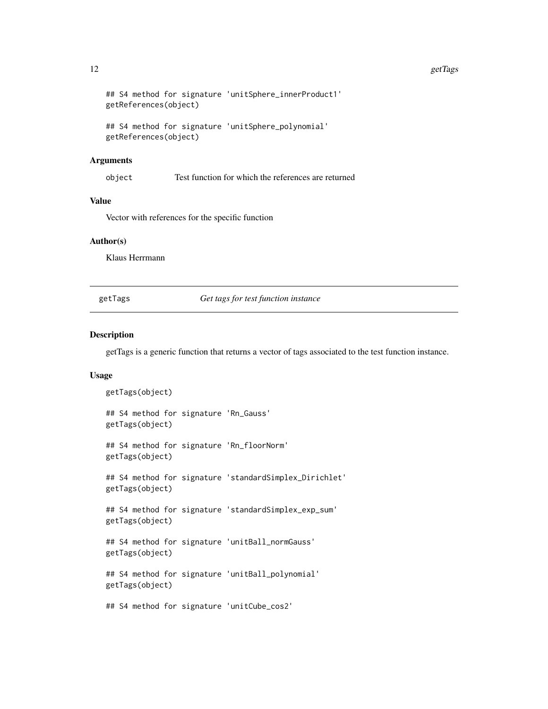#### <span id="page-11-0"></span>12 getTags and the set of the set of the set of the set of the set of the set of the set of the set of the set of the set of the set of the set of the set of the set of the set of the set of the set of the set of the set o

```
## S4 method for signature 'unitSphere_innerProduct1'
getReferences(object)
```

```
## S4 method for signature 'unitSphere_polynomial'
getReferences(object)
```
#### **Arguments**

object Test function for which the references are returned

#### Value

Vector with references for the specific function

# Author(s)

Klaus Herrmann

getTags *Get tags for test function instance*

#### Description

getTags is a generic function that returns a vector of tags associated to the test function instance.

#### Usage

```
getTags(object)
## S4 method for signature 'Rn_Gauss'
getTags(object)
## S4 method for signature 'Rn_floorNorm'
getTags(object)
## S4 method for signature 'standardSimplex_Dirichlet'
getTags(object)
## S4 method for signature 'standardSimplex_exp_sum'
getTags(object)
## S4 method for signature 'unitBall_normGauss'
getTags(object)
## S4 method for signature 'unitBall_polynomial'
getTags(object)
## S4 method for signature 'unitCube_cos2'
```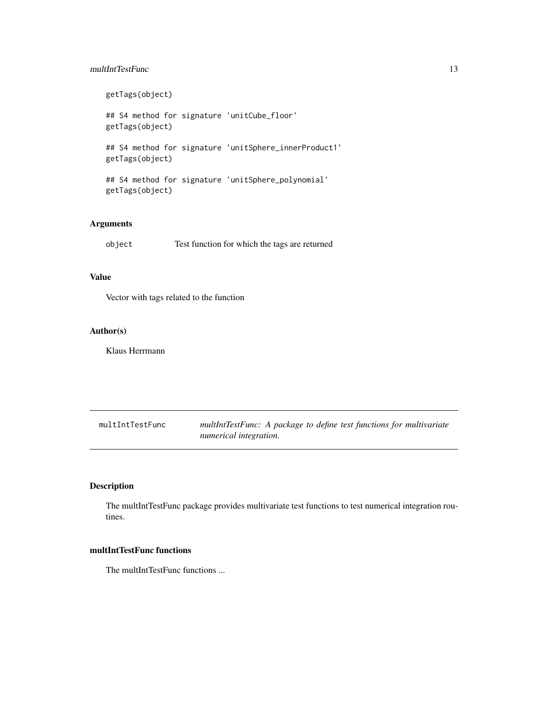# <span id="page-12-0"></span>multIntTestFunc 13

getTags(object) ## S4 method for signature 'unitCube\_floor' getTags(object) ## S4 method for signature 'unitSphere\_innerProduct1' getTags(object) ## S4 method for signature 'unitSphere\_polynomial' getTags(object)

# Arguments

object Test function for which the tags are returned

# Value

Vector with tags related to the function

# Author(s)

Klaus Herrmann

| multIntTestFunc | multIntTestFunc: A package to define test functions for multivariate |
|-----------------|----------------------------------------------------------------------|
|                 | numerical integration.                                               |

# Description

The multIntTestFunc package provides multivariate test functions to test numerical integration routines.

#### multIntTestFunc functions

The multIntTestFunc functions ...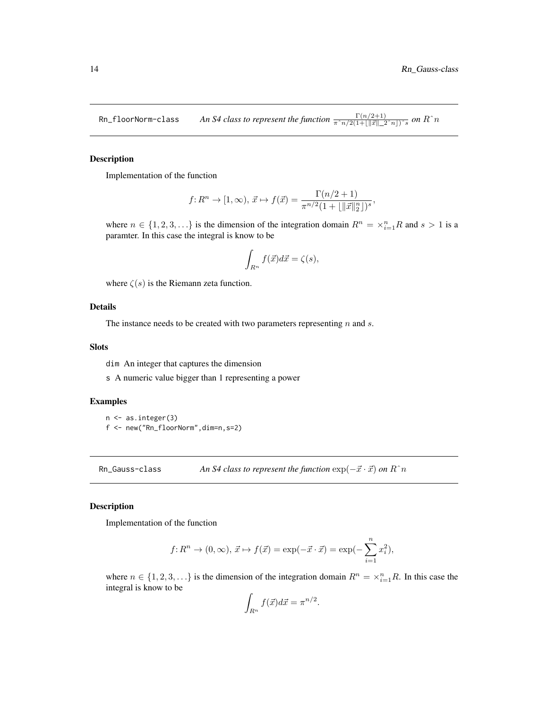,

<span id="page-13-0"></span> $R$ n\_f $1$ oorNorm-c $1$ ass *An S4 class to represent the function*  $\frac{\Gamma(n/2+1)}{\pi^2n/2(1+\lfloor\|\vec{x}\| \rfloor \cdot 2^2n\rfloor)^2s}$  *<i>on*  $R$ *ˆn* 

#### Description

Implementation of the function

$$
f: R^n \to [1, \infty), \ \vec{x} \mapsto f(\vec{x}) = \frac{\Gamma(n/2+1)}{\pi^{n/2}(1 + ||\vec{x}||_2^n)^s}
$$

where  $n \in \{1, 2, 3, ...\}$  is the dimension of the integration domain  $R^n = \times_{i=1}^n R$  and  $s > 1$  is a paramter. In this case the integral is know to be

$$
\int_{R^n} f(\vec{x})d\vec{x} = \zeta(s),
$$

where  $\zeta(s)$  is the Riemann zeta function.

# Details

The instance needs to be created with two parameters representing  $n$  and  $s$ .

#### Slots

dim An integer that captures the dimension

s A numeric value bigger than 1 representing a power

# Examples

n <- as.integer(3) f <- new("Rn\_floorNorm",dim=n,s=2)

Rn\_Gauss-class *An S4 class to represent the function*  $\exp(-\vec{x} \cdot \vec{x})$  *on*  $R^n$ 

# Description

Implementation of the function

$$
f: R^n \to (0, \infty), \ \vec{x} \mapsto f(\vec{x}) = \exp(-\vec{x} \cdot \vec{x}) = \exp(-\sum_{i=1}^n x_i^2),
$$

where  $n \in \{1, 2, 3, ...\}$  is the dimension of the integration domain  $R^n = \times_{i=1}^n R$ . In this case the integral is know to be

$$
\int_{R^n} f(\vec{x}) d\vec{x} = \pi^{n/2}.
$$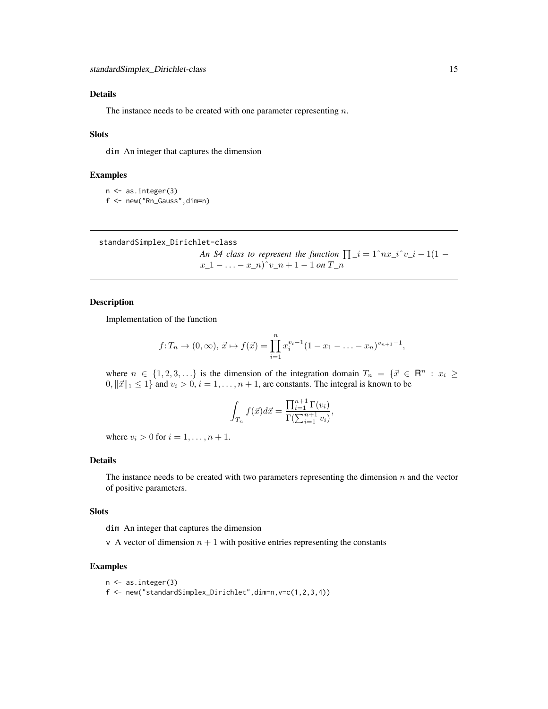# <span id="page-14-0"></span>Details

The instance needs to be created with one parameter representing  $n$ .

#### Slots

dim An integer that captures the dimension

#### Examples

```
n <- as.integer(3)
f <- new("Rn_Gauss",dim=n)
```
standardSimplex\_Dirichlet-class

*An S4 class to represent the function*  $\prod_i$   $i = 1^n$  $nx_i$ <sup> $\cdot$ </sup> $y_i$  $i - 1(1$  $x_1 = \ldots = x_n$ <sup>r</sup> $v_n + 1 - 1$  *on*  $T_n$ 

#### Description

Implementation of the function

$$
f: T_n \to (0, \infty), \ \vec{x} \mapsto f(\vec{x}) = \prod_{i=1}^n x_i^{v_i-1} (1 - x_1 - \ldots - x_n)^{v_{n+1}-1},
$$

where  $n \in \{1, 2, 3, ...\}$  is the dimension of the integration domain  $T_n = \{\vec{x} \in \mathbb{R}^n : x_i \geq 1\}$  $0, ||\vec{x}||_1 \leq 1$  and  $v_i > 0$ ,  $i = 1, \ldots, n + 1$ , are constants. The integral is known to be

$$
\int_{T_n} f(\vec{x})d\vec{x} = \frac{\prod_{i=1}^{n+1} \Gamma(v_i)}{\Gamma(\sum_{i=1}^{n+1} v_i)},
$$

where  $v_i > 0$  for  $i = 1, \ldots, n + 1$ .

# Details

The instance needs to be created with two parameters representing the dimension  $n$  and the vector of positive parameters.

#### Slots

dim An integer that captures the dimension

v A vector of dimension  $n + 1$  with positive entries representing the constants

#### Examples

```
n <- as.integer(3)
```
f <- new("standardSimplex\_Dirichlet",dim=n,v=c(1,2,3,4))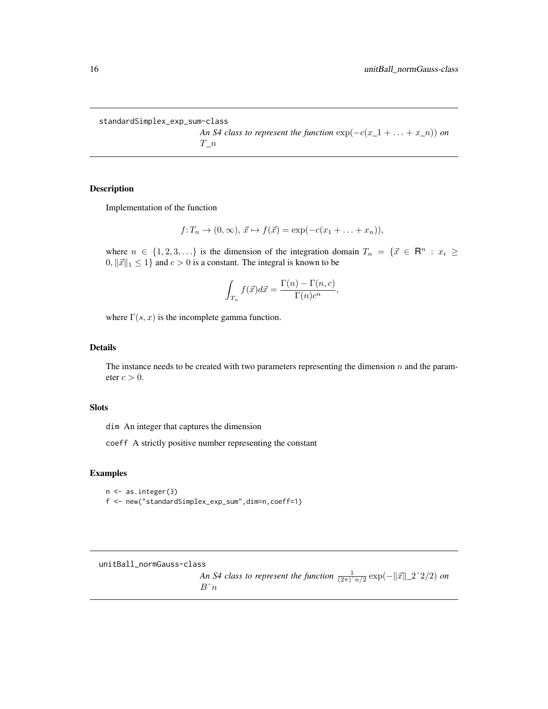<span id="page-15-0"></span>standardSimplex\_exp\_sum-class

*An S4 class to represent the function*  $exp(-c(x_1 + \ldots + x_n))$  *on* T*\_*n

,

#### Description

Implementation of the function

$$
f: T_n \to (0, \infty), \ \vec{x} \mapsto f(\vec{x}) = \exp(-c(x_1 + \dots + x_n)),
$$

where  $n \in \{1, 2, 3, ...\}$  is the dimension of the integration domain  $T_n = \{\vec{x} \in \mathbb{R}^n : x_i \geq 1\}$  $0, ||\vec{x}||_1 \le 1$  and  $c > 0$  is a constant. The integral is known to be

$$
\int_{T_n} f(\vec{x})d\vec{x} = \frac{\Gamma(n) - \Gamma(n, c)}{\Gamma(n)c^n}
$$

where  $\Gamma(s, x)$  is the incomplete gamma function.

# Details

The instance needs to be created with two parameters representing the dimension  $n$  and the parameter  $c > 0$ .

#### Slots

dim An integer that captures the dimension

coeff A strictly positive number representing the constant

# Examples

n <- as.integer(3) f <- new("standardSimplex\_exp\_sum",dim=n,coeff=1)

unitBall\_normGauss-class

*An S4 class to represent the function*  $\frac{1}{(2\pi)^n n/2} \exp(-\|\vec{x}\|_2^2)^2/2)$  *on*  $B^{\wedge} n$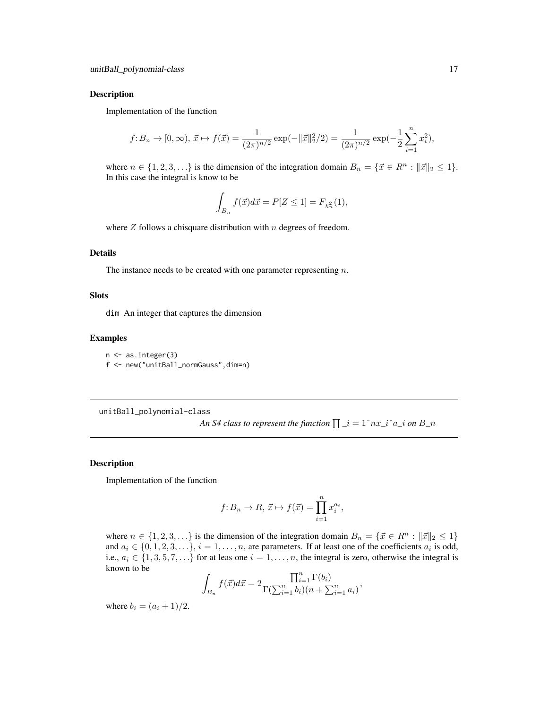#### <span id="page-16-0"></span>Description

Implementation of the function

$$
f: B_n \to [0, \infty), \ \vec{x} \mapsto f(\vec{x}) = \frac{1}{(2\pi)^{n/2}} \exp(-\|\vec{x}\|_2^2/2) = \frac{1}{(2\pi)^{n/2}} \exp(-\frac{1}{2} \sum_{i=1}^n x_i^2),
$$

where  $n \in \{1, 2, 3, \ldots\}$  is the dimension of the integration domain  $B_n = \{\vec{x} \in \mathbb{R}^n : ||\vec{x}||_2 \leq 1\}.$ In this case the integral is know to be

$$
\int_{B_n} f(\vec{x})d\vec{x} = P[Z \le 1] = F_{\chi_n^2}(1),
$$

where  $Z$  follows a chisquare distribution with  $n$  degrees of freedom.

#### Details

The instance needs to be created with one parameter representing  $n$ .

#### Slots

dim An integer that captures the dimension

#### Examples

n <- as.integer(3) f <- new("unitBall\_normGauss",dim=n)

unitBall\_polynomial-class

An S4 class to represent the function  $\prod_i$   $i = 1^{\hat{}} n x_i$   $i^{\hat{}} a_i$  on  $B_n$ 

#### Description

Implementation of the function

$$
f: B_n \to R, \, \vec{x} \mapsto f(\vec{x}) = \prod_{i=1}^n x_i^{a_i},
$$

where  $n \in \{1, 2, 3, \ldots\}$  is the dimension of the integration domain  $B_n = \{\vec{x} \in \mathbb{R}^n : ||\vec{x}||_2 \leq 1\}$ and  $a_i \in \{0, 1, 2, 3, \ldots\}, i = 1, \ldots, n$ , are parameters. If at least one of the coefficients  $a_i$  is odd, i.e.,  $a_i \in \{1, 3, 5, 7, \ldots\}$  for at leas one  $i = 1, \ldots, n$ , the integral is zero, otherwise the integral is known to be

$$
\int_{B_n} f(\vec{x})d\vec{x} = 2 \frac{\prod_{i=1}^n \Gamma(b_i)}{\Gamma(\sum_{i=1}^n b_i)(n + \sum_{i=1}^n a_i)},
$$

where  $b_i = (a_i + 1)/2$ .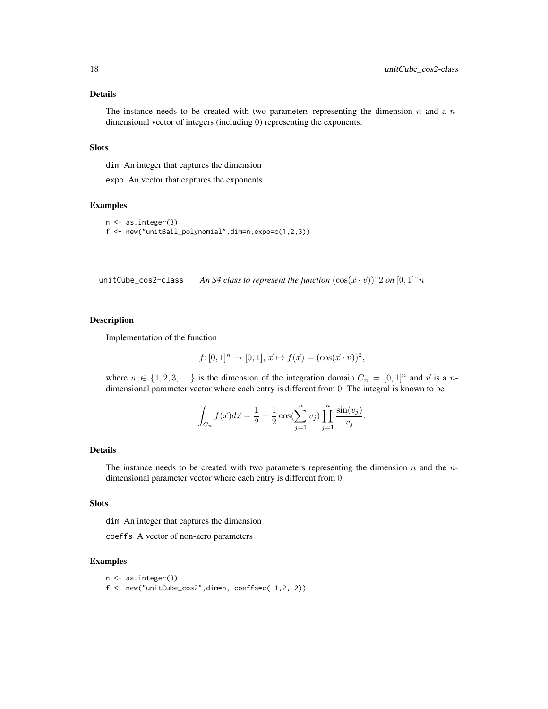### <span id="page-17-0"></span>Details

The instance needs to be created with two parameters representing the dimension  $n$  and a  $n$ dimensional vector of integers (including 0) representing the exponents.

#### Slots

dim An integer that captures the dimension

expo An vector that captures the exponents

#### Examples

```
n <- as.integer(3)
f <- new("unitBall_polynomial",dim=n,expo=c(1,2,3))
```
unitCube\_cos2-class *An S4 class to represent the function*  $(\cos(\vec{x} \cdot \vec{v}))$ <sup>2</sup> *on*  $[0, 1]$ <sup>2</sup> *n* 

#### Description

Implementation of the function

$$
f: [0, 1]^n \to [0, 1], \vec{x} \mapsto f(\vec{x}) = (\cos(\vec{x} \cdot \vec{v}))^2
$$
,

where  $n \in \{1, 2, 3, \ldots\}$  is the dimension of the integration domain  $C_n = [0, 1]^n$  and  $\vec{v}$  is a ndimensional parameter vector where each entry is different from 0. The integral is known to be

$$
\int_{C_n} f(\vec{x})d\vec{x} = \frac{1}{2} + \frac{1}{2}\cos(\sum_{j=1}^n v_j) \prod_{j=1}^n \frac{\sin(v_j)}{v_j}.
$$

#### Details

The instance needs to be created with two parameters representing the dimension  $n$  and the  $n$ dimensional parameter vector where each entry is different from 0.

#### Slots

dim An integer that captures the dimension

coeffs A vector of non-zero parameters

#### Examples

```
n <- as.integer(3)
f \leftarrow new("unitCube\_cos2", dim=n, coeffs=c(-1,2,-2))
```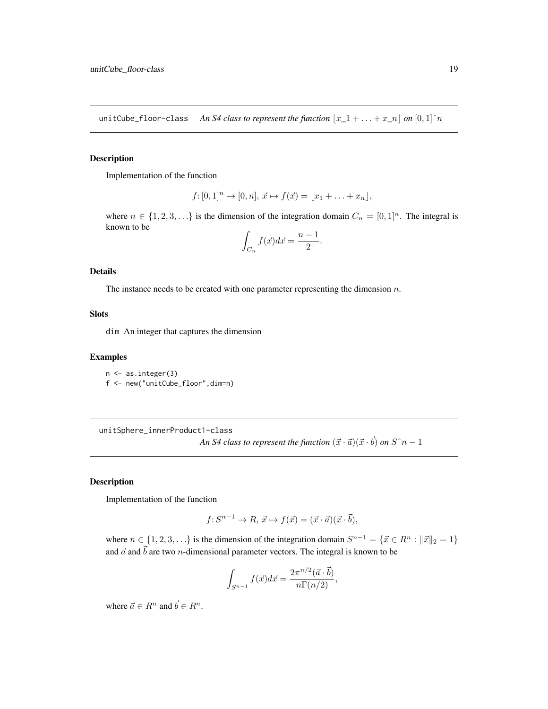<span id="page-18-0"></span>unitCube\_floor-class *An S4 class to represent the function*  $\lfloor x_1 + \ldots + x_n \rfloor$  *on*  $[0, 1]$ <sup> $\land$ </sup>n

# Description

Implementation of the function

$$
f: [0,1]^n \to [0,n], \vec{x} \mapsto f(\vec{x}) = [x_1 + \ldots + x_n],
$$

where  $n \in \{1, 2, 3, \ldots\}$  is the dimension of the integration domain  $C_n = [0, 1]^n$ . The integral is known to be

$$
\int_{C_n} f(\vec{x})d\vec{x} = \frac{n-1}{2}.
$$

# Details

The instance needs to be created with one parameter representing the dimension  $n$ .

#### Slots

dim An integer that captures the dimension

#### Examples

n <- as.integer(3) f <- new("unitCube\_floor",dim=n)

unitSphere\_innerProduct1-class An S4 class to represent the function  $(\vec{x}\cdot\vec{a}) (\vec{x}\cdot\vec{b})$  on  $S\hat{\;}n-1$ 

#### Description

Implementation of the function

$$
f: S^{n-1} \to R, \, \vec{x} \mapsto f(\vec{x}) = (\vec{x} \cdot \vec{a})(\vec{x} \cdot \vec{b}),
$$

where  $n \in \{1, 2, 3, \ldots\}$  is the dimension of the integration domain  $S^{n-1} = \{\vec{x} \in R^n : ||\vec{x}||_2 = 1\}$ and  $\vec{a}$  and  $\vec{b}$  are two *n*-dimensional parameter vectors. The integral is known to be

$$
\int_{S^{n-1}} f(\vec{x}) d\vec{x} = \frac{2\pi^{n/2} (\vec{a} \cdot \vec{b})}{n\Gamma(n/2)},
$$

where  $\vec{a} \in R^n$  and  $\vec{b} \in R^n$ .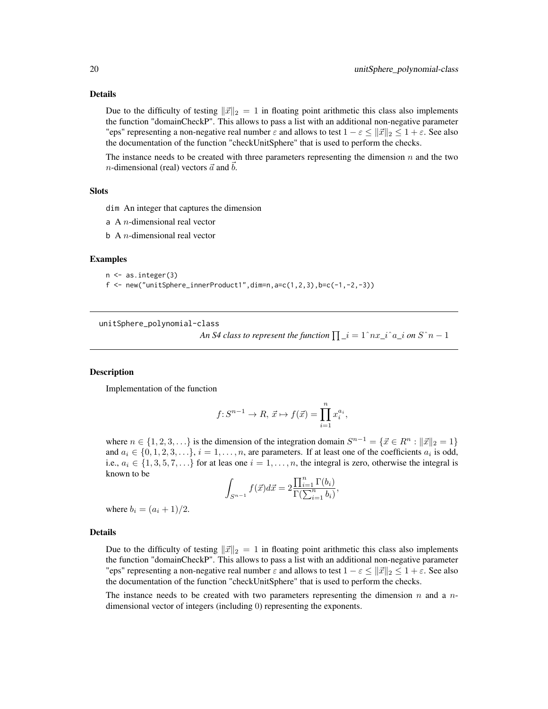#### <span id="page-19-0"></span>Details

Due to the difficulty of testing  $\|\vec{x}\|_2 = 1$  in floating point arithmetic this class also implements the function "domainCheckP". This allows to pass a list with an additional non-negative parameter "eps" representing a non-negative real number  $\varepsilon$  and allows to test  $1 - \varepsilon \le ||\vec{x}||_2 \le 1 + \varepsilon$ . See also the documentation of the function "checkUnitSphere" that is used to perform the checks.

The instance needs to be created with three parameters representing the dimension  $n$  and the two *n*-dimensional (real) vectors  $\vec{a}$  and  $\vec{b}$ .

#### Slots

dim An integer that captures the dimension

- a A  $n$ -dimensional real vector
- $b \, A \, n$ -dimensional real vector

#### Examples

```
n <- as.integer(3)
```
 $f \leftarrow \text{new("unitSphere\_innerProduct1", dim=n, a=c(1, 2, 3), b=c(-1, -2, -3))}$ 

```
unitSphere_polynomial-class
```
*An S4 class to represent the function*  $\prod_i$  $i = 1^{\hat{}} nx_i^{\hat{}} a_i^{\hat{}}$  *<i>on S*  $\hat{}} n - 1$ 

,

#### **Description**

Implementation of the function

$$
f\hbox{\rm :}\ S^{n-1}\to R,\ \vec x\mapsto f(\vec x)=\prod_{i=1}^n x_i^{a_i},
$$

where  $n \in \{1, 2, 3, \ldots\}$  is the dimension of the integration domain  $S^{n-1} = \{\vec{x} \in R^n : ||\vec{x}||_2 = 1\}$ and  $a_i \in \{0, 1, 2, 3, \ldots\}, i = 1, \ldots, n$ , are parameters. If at least one of the coefficients  $a_i$  is odd, i.e.,  $a_i \in \{1, 3, 5, 7, \ldots\}$  for at leas one  $i = 1, \ldots, n$ , the integral is zero, otherwise the integral is known to be

$$
\int_{S^{n-1}} f(\vec{x}) d\vec{x} = 2 \frac{\prod_{i=1}^{n} \Gamma(b_i)}{\Gamma(\sum_{i=1}^{n} b_i)}
$$

where  $b_i = (a_i + 1)/2$ .

#### Details

Due to the difficulty of testing  $\|\vec{x}\|_2 = 1$  in floating point arithmetic this class also implements the function "domainCheckP". This allows to pass a list with an additional non-negative parameter "eps" representing a non-negative real number  $\varepsilon$  and allows to test  $1 - \varepsilon \le ||\vec{x}||_2 \le 1 + \varepsilon$ . See also the documentation of the function "checkUnitSphere" that is used to perform the checks.

The instance needs to be created with two parameters representing the dimension  $n$  and a  $n$ dimensional vector of integers (including 0) representing the exponents.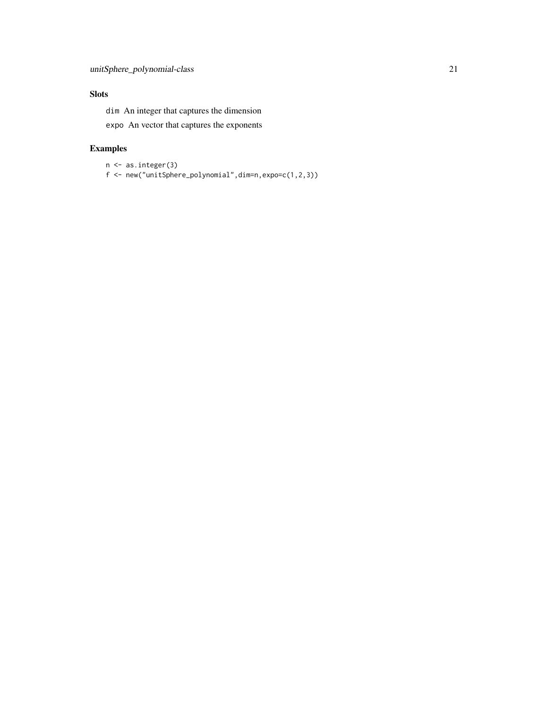# Slots

dim An integer that captures the dimension

expo An vector that captures the exponents

# Examples

```
n <- as.integer(3)
f <- new("unitSphere_polynomial",dim=n,expo=c(1,2,3))
```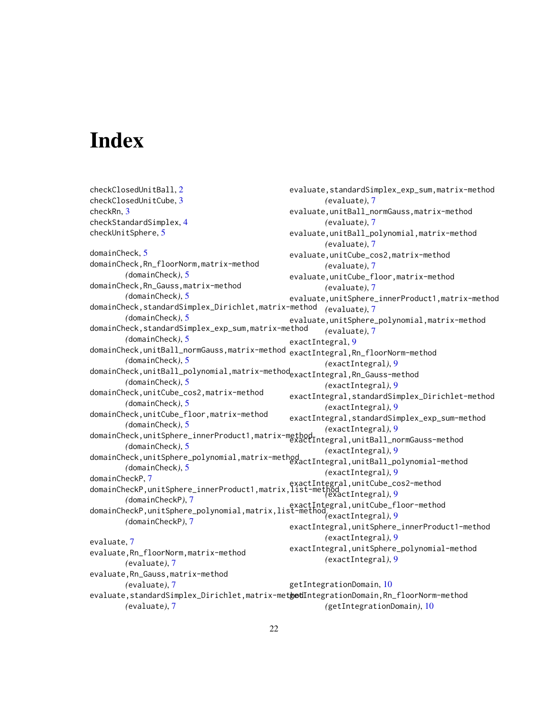# <span id="page-21-0"></span>Index

checkClosedUnitBall, [2](#page-1-0) checkClosedUnitCube, [3](#page-2-0) checkRn, [3](#page-2-0) checkStandardSimplex, [4](#page-3-0) checkUnitSphere, [5](#page-4-0) domainCheck, [5](#page-4-0) domainCheck,Rn\_floorNorm,matrix-method *(*domainCheck*)*, [5](#page-4-0) domainCheck,Rn\_Gauss,matrix-method *(*domainCheck*)*, [5](#page-4-0) domainCheck,standardSimplex\_Dirichlet,matrix-method *(*evaluate*)*, [7](#page-6-0) *(*domainCheck*)*, [5](#page-4-0) domainCheck,standardSimplex\_exp\_sum,matrix-method *(*domainCheck*)*, [5](#page-4-0) domainCheck,unitBall\_normGauss,matrix-method exactIntegral,Rn\_floorNorm-method *(*domainCheck*)*, [5](#page-4-0) domainCheck,unitBall\_polynomial,matrix-method<sub>exactIntegral,Rn\_Gauss-method</sub> *(*domainCheck*)*, [5](#page-4-0) domainCheck,unitCube\_cos2,matrix-method *(*domainCheck*)*, [5](#page-4-0) domainCheck,unitCube\_floor,matrix-method *(*domainCheck*)*, [5](#page-4-0) domainCheck,unitSphere\_innerProduct1,matrix-method exactIntegral,unitBall\_normGauss-method *(*domainCheck*)*, [5](#page-4-0) domainCheck,unitSphere\_polynomial,matrix-method *(*exactIntegral*)*, [9](#page-8-0) *(*domainCheck*)*, [5](#page-4-0) domainCheckP, [7](#page-6-0) domainCheckF,7<br>domainCheckP,unitSphere\_innerProduct1,matrix,list-method\_\_\_\_\_\_\_\_\_\_\_\_\_\_\_\_\_\_\_\_\_\_\_\_ *(*domainCheckP*)*, [7](#page-6-0) domainCheckP,unitSphere\_polynomial,matrix,list-method exactIntegral,unitCube\_floor-method *(*domainCheckP*)*, [7](#page-6-0) evaluate, [7](#page-6-0) evaluate,Rn\_floorNorm,matrix-method *(*evaluate*)*, [7](#page-6-0) evaluate,Rn\_Gauss,matrix-method *(*evaluate*)*, [7](#page-6-0) evaluate,standardSimplex\_Dirichlet,matrix-met**get**IntegrationDomain,Rn\_floorNorm-method *(*evaluate*)*, [7](#page-6-0) evaluate,standardSimplex\_exp\_sum,matrix-method *(*evaluate*)*, [7](#page-6-0) evaluate,unitBall\_normGauss,matrix-method *(*evaluate*)*, [7](#page-6-0) evaluate,unitBall\_polynomial,matrix-method *(*evaluate*)*, [7](#page-6-0) evaluate,unitCube\_cos2,matrix-method *(*evaluate*)*, [7](#page-6-0) evaluate,unitCube\_floor,matrix-method *(*evaluate*)*, [7](#page-6-0) evaluate,unitSphere\_innerProduct1,matrix-method evaluate,unitSphere\_polynomial,matrix-method *(*evaluate*)*, [7](#page-6-0) exactIntegral, [9](#page-8-0) *(*exactIntegral*)*, [9](#page-8-0) *(*exactIntegral*)*, [9](#page-8-0) exactIntegral,standardSimplex\_Dirichlet-method *(*exactIntegral*)*, [9](#page-8-0) exactIntegral,standardSimplex\_exp\_sum-method *(*exactIntegral*)*, [9](#page-8-0) exactIntegral,unitBall\_polynomial-method *(*exactIntegral*)*, [9](#page-8-0) *(*exactIntegral*)*, [9](#page-8-0) *(*exactIntegral*)*, [9](#page-8-0) exactIntegral,unitSphere\_innerProduct1-method *(*exactIntegral*)*, [9](#page-8-0) exactIntegral,unitSphere\_polynomial-method *(*exactIntegral*)*, [9](#page-8-0) getIntegrationDomain, [10](#page-9-0) *(*getIntegrationDomain*)*, [10](#page-9-0)